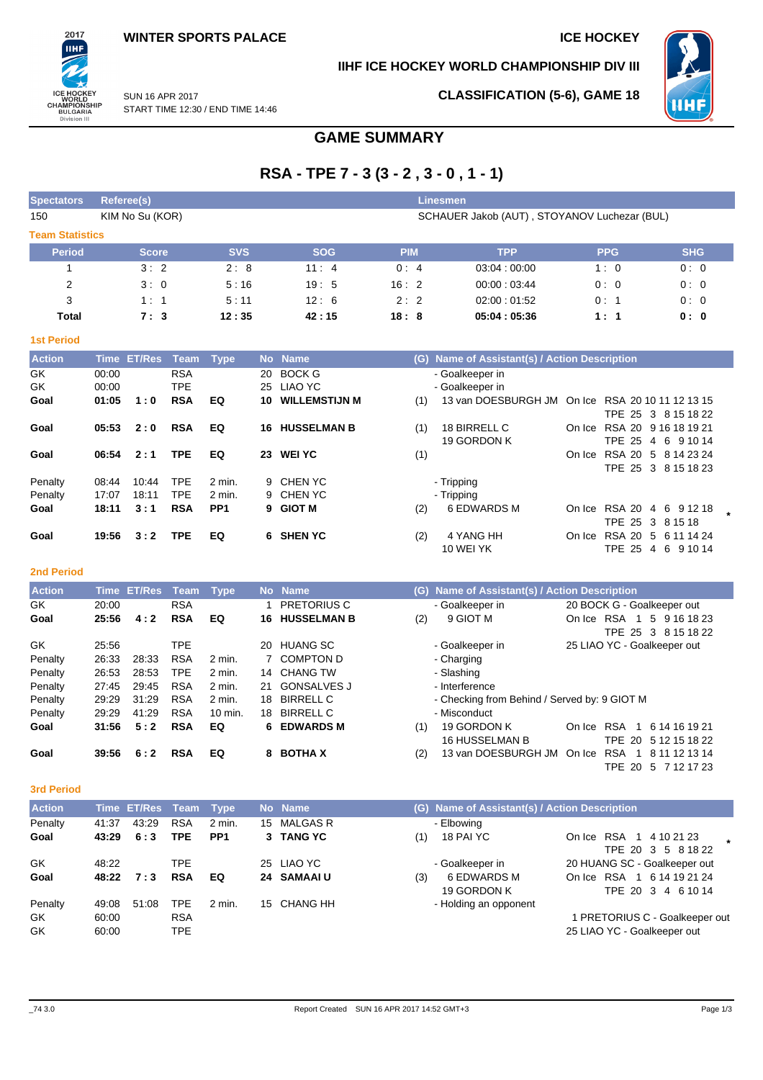## **IIHF ICE HOCKEY WORLD CHAMPIONSHIP DIV III**



**CLASSIFICATION (5-6), GAME 18**

SUN 16 APR 2017 START TIME 12:30 / END TIME 14:46

# **GAME SUMMARY**

# **RSA - TPE 7 - 3 (3 - 2 , 3 - 0 , 1 - 1)**

| <b>Spectators</b>      | Referee(s)<br>Linesmen                                          |            |            |            |             |            |            |  |  |  |  |  |  |  |
|------------------------|-----------------------------------------------------------------|------------|------------|------------|-------------|------------|------------|--|--|--|--|--|--|--|
| 150                    | SCHAUER Jakob (AUT), STOYANOV Luchezar (BUL)<br>KIM No Su (KOR) |            |            |            |             |            |            |  |  |  |  |  |  |  |
| <b>Team Statistics</b> |                                                                 |            |            |            |             |            |            |  |  |  |  |  |  |  |
| <b>Period</b>          | <b>Score</b>                                                    | <b>SVS</b> | <b>SOG</b> | <b>PIM</b> | <b>TPP</b>  | <b>PPG</b> | <b>SHG</b> |  |  |  |  |  |  |  |
|                        | 3:2                                                             | 2:8        | 11:4       | 0:4        | 03.04:00.00 | 1:0        | 0:0        |  |  |  |  |  |  |  |
| 2                      | 3:0                                                             | 5:16       | 19:5       | 16:2       | 00.00:03.44 | 0:0        | 0:0        |  |  |  |  |  |  |  |
| 3                      | 1:1                                                             | 5:11       | 12:6       | 2:2        | 02:00:01:52 | 0:1        | 0:0        |  |  |  |  |  |  |  |
| Total                  | 7:3                                                             | 12:35      | 42:15      | 18:8       | 05:04:05:36 | 1:1        | 0: 0       |  |  |  |  |  |  |  |

#### **1st Period**

2017 ПHI

ICE HOCKEY<br>WORLD<br>CHAMPIONSHIP<br>BULGARIA<br>Division III

| <b>Action</b> |       | Time ET/Res | Team       | Type            |    | No Name               | Name of Assistant(s) / Action Description<br>(G) |                                                  |        |                      |             |  |  |  |
|---------------|-------|-------------|------------|-----------------|----|-----------------------|--------------------------------------------------|--------------------------------------------------|--------|----------------------|-------------|--|--|--|
| GK.           | 00:00 |             | <b>RSA</b> |                 | 20 | <b>BOCK G</b>         |                                                  | - Goalkeeper in                                  |        |                      |             |  |  |  |
| GK            | 00:00 |             | <b>TPE</b> |                 |    | 25 LIAO YC            |                                                  | - Goalkeeper in                                  |        |                      |             |  |  |  |
| Goal          | 01:05 | 1:0         | <b>RSA</b> | EQ              | 10 | <b>WILLEMSTIJN M</b>  | (1)                                              | 13 van DOESBURGH JM On Ice RSA 20 10 11 12 13 15 |        |                      |             |  |  |  |
|               |       |             |            |                 |    |                       |                                                  |                                                  |        | TPE 25 3 8 15 18 22  |             |  |  |  |
| Goal          | 05:53 | 2:0         | <b>RSA</b> | EQ              |    | <b>16 HUSSELMAN B</b> | (1)                                              | 18 BIRRELL C                                     | On Ice | RSA 20 9 16 18 19 21 |             |  |  |  |
|               |       |             |            |                 |    |                       |                                                  | 19 GORDON K                                      |        | TPE 25               | 4 6 9 10 14 |  |  |  |
| Goal          | 06:54 | 2:1         | <b>TPE</b> | EQ              | 23 | <b>WEI YC</b>         | (1)                                              |                                                  | On Ice | RSA 20 5 8 14 23 24  |             |  |  |  |
|               |       |             |            |                 |    |                       |                                                  |                                                  |        | TPE 25 3 8 15 18 23  |             |  |  |  |
| Penalty       | 08:44 | 10:44       | TPE.       | 2 min.          |    | 9 CHEN YC             |                                                  | - Tripping                                       |        |                      |             |  |  |  |
| Penalty       | 17:07 | 18:11       | <b>TPE</b> | 2 min.          |    | 9 CHEN YC             |                                                  | - Tripping                                       |        |                      |             |  |  |  |
| Goal          | 18:11 | 3:1         | <b>RSA</b> | PP <sub>1</sub> |    | 9 GIOT M              | (2)                                              | 6 EDWARDS M                                      |        | On Ice RSA 20        | 4 6 9 12 18 |  |  |  |
|               |       |             |            |                 |    |                       |                                                  |                                                  |        | TPE 25 3 8 15 18     |             |  |  |  |
| Goal          | 19:56 | 3:2         | <b>TPE</b> | EQ              |    | 6 SHEN YC             | (2)                                              | 4 YANG HH                                        | On Ice | RSA 20 5 6 11 14 24  |             |  |  |  |
|               |       |             |            |                 |    |                       |                                                  | 10 WEI YK                                        |        | <b>TPE 25</b>        | 4 6 9 10 14 |  |  |  |

### **2nd Period**

| <b>Action</b> |       | Time ET/Res | Team       | Type               |     | No Name            |     | (G) Name of Assistant(s) / Action Description |        |                                                  |  |  |  |
|---------------|-------|-------------|------------|--------------------|-----|--------------------|-----|-----------------------------------------------|--------|--------------------------------------------------|--|--|--|
| GK.           | 20:00 |             | <b>RSA</b> |                    |     | <b>PRETORIUS C</b> |     | - Goalkeeper in                               |        | 20 BOCK G - Goalkeeper out                       |  |  |  |
| Goal          | 25:56 | 4:2         | <b>RSA</b> | EQ                 | 16. | <b>HUSSELMAN B</b> | (2) | 9 GIOT M                                      | On Ice | RSA<br>5 9 16 18 23<br>-1<br>TPE 25 3 8 15 18 22 |  |  |  |
| GK.           | 25:56 |             | TPE        |                    | 20  | <b>HUANG SC</b>    |     | - Goalkeeper in                               |        | 25 LIAO YC - Goalkeeper out                      |  |  |  |
| Penalty       | 26:33 | 28:33       | <b>RSA</b> | $2 \text{ min}$ .  |     | 7 COMPTON D        |     | - Charging                                    |        |                                                  |  |  |  |
| Penalty       | 26.53 | 28.53       | <b>TPE</b> | $2$ min.           |     | 14 CHANG TW        |     | - Slashing                                    |        |                                                  |  |  |  |
| Penalty       | 27:45 | 29:45       | <b>RSA</b> | 2 min.             | 21  | <b>GONSALVES J</b> |     | - Interference                                |        |                                                  |  |  |  |
| Penalty       | 29:29 | 31:29       | <b>RSA</b> | 2 min.             | 18  | <b>BIRRELL C</b>   |     | - Checking from Behind / Served by: 9 GIOT M  |        |                                                  |  |  |  |
| Penalty       | 29:29 | 41:29       | <b>RSA</b> | $10 \text{ min}$ . | 18  | <b>BIRRELL C</b>   |     | - Misconduct                                  |        |                                                  |  |  |  |
| Goal          | 31:56 | 5:2         | <b>RSA</b> | EQ                 | 6.  | <b>EDWARDS M</b>   | (1) | 19 GORDON K                                   | On Ice | <b>RSA</b><br>6 14 16 19 21                      |  |  |  |
|               |       |             |            |                    |     |                    |     | <b>16 HUSSELMAN B</b>                         |        | TPE 20 5 12 15 18 22                             |  |  |  |
| Goal          | 39:56 | 6:2         | <b>RSA</b> | EQ                 | 8   | <b>BOTHA X</b>     | (2) | 13 van DOESBURGH JM                           | On Ice | <b>RSA</b><br>8 11 12 13 14                      |  |  |  |
|               |       |             |            |                    |     |                    |     |                                               |        | TPE 20<br>5 7 12 17 23                           |  |  |  |

## **3rd Period**

| <b>Action</b> |       | Time ET/Res Team |            | Type            |    | No Name     |     | (G) Name of Assistant(s) / Action Description |                                                  |  |  |  |
|---------------|-------|------------------|------------|-----------------|----|-------------|-----|-----------------------------------------------|--------------------------------------------------|--|--|--|
| Penalty       | 41:37 | 43.29            | <b>RSA</b> | $2$ min.        | 15 | MALGAS R    |     | - Elbowing                                    |                                                  |  |  |  |
| Goal          | 43:29 | 6:3              | TPE        | PP <sub>1</sub> |    | 3 TANG YC   | (1) | 18 PAI YC                                     | On Ice RSA 1 4 10 21 23<br>TPE 20 3 5 8 18 22    |  |  |  |
| GK            | 48:22 |                  | TPE        |                 |    | 25 LIAO YC  |     | - Goalkeeper in                               | 20 HUANG SC - Goalkeeper out                     |  |  |  |
| Goal          | 48:22 | 7:3              | <b>RSA</b> | EQ              |    | 24 SAMAAI U | (3) | 6 EDWARDS M<br>19 GORDON K                    | On Ice RSA 1 6 14 19 21 24<br>TPE 20 3 4 6 10 14 |  |  |  |
| Penalty       | 49:08 | 51:08            | TPE        | $2$ min.        |    | 15 CHANG HH |     | - Holding an opponent                         |                                                  |  |  |  |
| GK.           | 60:00 |                  | <b>RSA</b> |                 |    |             |     |                                               | 1 PRETORIUS C - Goalkeeper out                   |  |  |  |
| GK            | 60:00 |                  | TPE        |                 |    |             |     |                                               | 25 LIAO YC - Goalkeeper out                      |  |  |  |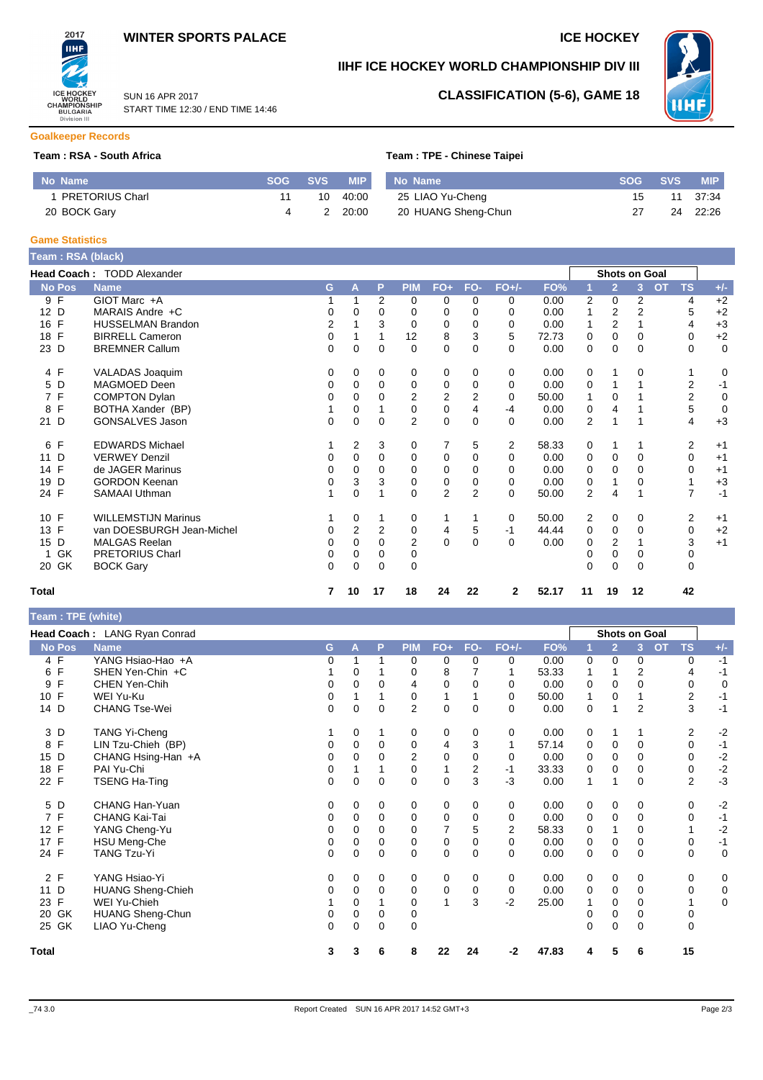## **WINTER SPORTS PALACE ICE HOCKEY**

START TIME 12:30 / END TIME 14:46

SUN 16 APR 2017



## **IIHF ICE HOCKEY WORLD CHAMPIONSHIP DIV III**



## **CLASSIFICATION (5-6), GAME 18**

**Goalkeeper Records**

#### **Team : RSA - South Africa Team : TPE - Chinese Taipei**<br>
Team : TPE - Chinese Taipei

| No Name                | SOG A | SVS <b>SVS</b> | <b>MIP</b> | No Name             | <b>SOG</b> | <b>SVS</b> | <b>MIP</b> |
|------------------------|-------|----------------|------------|---------------------|------------|------------|------------|
| <b>PRETORIUS Charl</b> |       | 10             | 40:00      | 25 LIAO Yu-Cheng    | 15.        | 11         | 37:34      |
| 20 BOCK Gary           |       |                | 20:00      | 20 HUANG Sheng-Chun |            | 24         | 22:26      |

#### **Game Statistics**

| Team : RSA (black)   |                                   |   |                |          |                |                |                         |                |       |                |                      |              |                        |             |
|----------------------|-----------------------------------|---|----------------|----------|----------------|----------------|-------------------------|----------------|-------|----------------|----------------------|--------------|------------------------|-------------|
|                      | <b>Head Coach: TODD Alexander</b> |   |                |          |                |                |                         |                |       |                | <b>Shots on Goal</b> |              |                        |             |
| <b>No Pos</b>        | <b>Name</b>                       | G | Α              | P        | <b>PIM</b>     | $FO+$          | FO-                     | $FO+/-$        | FO%   |                | $\overline{2}$       | $\mathbf{3}$ | <b>OT</b><br><b>TS</b> | $+/-$       |
| 9 F                  | GIOT Marc +A                      |   |                | 2        | 0              | 0              | 0                       | 0              | 0.00  | 2              | $\mathbf 0$          | 2            | 4                      | $+2$        |
| D<br>12 <sup>2</sup> | MARAIS Andre +C                   | 0 | 0              | 0        | 0              | 0              | 0                       | 0              | 0.00  |                | 2                    | 2            | 5                      | $+2$        |
| F<br>16              | <b>HUSSELMAN Brandon</b>          | 2 |                | 3        | 0              | 0              | 0                       | 0              | 0.00  | 1              | 2                    |              | 4                      | $+3$        |
| $\mathsf{F}$<br>18   | <b>BIRRELL Cameron</b>            | 0 |                |          | 12             | 8              | 3                       | 5              | 72.73 | 0              | $\Omega$             | 0            | 0                      | $+2$        |
| 23 D                 | <b>BREMNER Callum</b>             | 0 | 0              | 0        | $\Omega$       | $\mathbf 0$    | 0                       | 0              | 0.00  | 0              | $\Omega$             | 0            | 0                      | $\mathbf 0$ |
| 4 F                  | VALADAS Joaquim                   | 0 | 0              | 0        | 0              | 0              | 0                       | 0              | 0.00  | 0              |                      | 0            |                        | 0           |
| D<br>5               | MAGMOED Deen                      | 0 | $\Omega$       | $\Omega$ | 0              | 0              | 0                       | 0              | 0.00  | 0              |                      |              | 2                      | $-1$        |
| 7 F                  | <b>COMPTON Dylan</b>              | 0 | 0              |          | 2              | 2              | 2                       | $\Omega$       | 50.00 | 1              | $\Omega$             |              | 2                      | 0           |
| F<br>8               | BOTHA Xander (BP)                 |   | 0              |          | $\mathbf 0$    | $\mathbf 0$    | $\overline{\mathbf{4}}$ | $-4$           | 0.00  | 0              | 4                    |              | 5                      | $\mathbf 0$ |
| D<br>21              | GONSALVES Jason                   | 0 | $\Omega$       | 0        | $\overline{2}$ | 0              | 0                       | $\Omega$       | 0.00  | $\overline{2}$ | 1                    |              | 4                      | $+3$        |
| F<br>6               | <b>EDWARDS Michael</b>            |   | $\overline{2}$ | 3        | 0              | 7              | 5                       | $\overline{2}$ | 58.33 | 0              | 1                    |              | 2                      | $+1$        |
| D<br>11              | <b>VERWEY Denzil</b>              | 0 | 0              | 0        | 0              | 0              | 0                       | 0              | 0.00  | 0              | 0                    | 0            | 0                      | $+1$        |
| F<br>14              | de JAGER Marinus                  | 0 | $\Omega$       | 0        | 0              | 0              | 0                       | $\Omega$       | 0.00  | 0              | $\Omega$             | 0            | 0                      | $+1$        |
| D<br>19              | <b>GORDON Keenan</b>              | 0 | 3              | 3        | 0              | 0              | 0                       | 0              | 0.00  | 0              |                      | 0            |                        | $+3$        |
| 24 F                 | <b>SAMAAI Uthman</b>              |   | 0              |          | $\Omega$       | $\overline{2}$ | $\overline{2}$          | $\Omega$       | 50.00 | 2              | 4                    |              | 7                      | $-1$        |
| F<br>10 <sup>1</sup> | <b>WILLEMSTIJN Marinus</b>        |   | 0              |          | 0              | 1              |                         | 0              | 50.00 | 2              | 0                    | 0            | 2                      | $+1$        |
| F<br>13              | van DOESBURGH Jean-Michel         | 0 | $\overline{2}$ | 2        | 0              | 4              | 5                       | -1             | 44.44 | 0              | 0                    | 0            | 0                      | $+2$        |
| D<br>15              | <b>MALGAS Reelan</b>              | 0 | 0              | 0        | $\overline{2}$ | $\mathbf 0$    | $\Omega$                | 0              | 0.00  | 0              | 2                    |              | 3                      | $+1$        |
| GK                   | <b>PRETORIUS Charl</b>            | 0 | 0              | 0        | 0              |                |                         |                |       |                | 0                    | 0            | 0                      |             |
| 20 GK                | <b>BOCK Gary</b>                  | 0 | $\Omega$       | $\Omega$ | $\Omega$       |                |                         |                |       | 0              | $\Omega$             | $\Omega$     | 0                      |             |
| <b>Total</b>         |                                   | 7 | 10             | 17       | 18             | 24             | 22                      | 2              | 52.17 | 11             | 19                   | 12           | 42                     |             |

## **Team : TPE (white)**

|                   | Head Coach: LANG Ryan Conrad |    |          |             |                |                |          |         |       |   |                | <b>Shots on Goal</b> |                |             |  |
|-------------------|------------------------------|----|----------|-------------|----------------|----------------|----------|---------|-------|---|----------------|----------------------|----------------|-------------|--|
| <b>No Pos</b>     | <b>Name</b>                  | G. | A        | P           | <b>PIM</b>     | $FO+$          | FO-      | $FO+/-$ | FO%   |   | $\overline{2}$ | <b>OT</b><br>3       | <b>TS</b>      | $+/-$       |  |
| 4 F               | YANG Hsiao-Hao +A            | 0  |          | 1           | 0              | 0              | 0        | 0       | 0.00  | 0 | 0              | 0                    | 0              | $-1$        |  |
| F<br>6            | SHEN Yen-Chin +C             |    | 0        |             | 0              | 8              |          |         | 53.33 |   |                | 2                    | 4              | $-1$        |  |
| F<br>9            | CHEN Yen-Chih                | 0  | 0        | $\Omega$    | 4              | 0              | 0        | 0       | 0.00  | 0 | 0              | $\Omega$             | 0              | 0           |  |
| F<br>10           | WEI Yu-Ku                    | 0  |          |             | 0              |                |          | 0       | 50.00 |   | 0              |                      | $\overline{2}$ | $-1$        |  |
| 14 D              | <b>CHANG Tse-Wei</b>         | 0  | 0        | $\Omega$    | $\overline{2}$ | 0              | $\Omega$ | 0       | 0.00  | 0 | 1              | $\overline{2}$       | 3              | $-1$        |  |
| 3 D               | TANG Yi-Cheng                |    | 0        | 1           | 0              | 0              | 0        | 0       | 0.00  | 0 | 1              |                      | 2              | $-2$        |  |
| $\mathsf{F}$<br>8 | LIN Tzu-Chieh (BP)           | 0  | 0        | $\Omega$    | 0              | 4              | 3        | 1       | 57.14 | 0 | 0              | $\Omega$             | 0              | $-1$        |  |
| D<br>15           | CHANG Hsing-Han +A           | 0  | 0        | $\Omega$    | $\overline{2}$ | 0              | 0        | 0       | 0.00  | 0 | 0              | 0                    | 0              | $-2$        |  |
| F<br>18           | PAI Yu-Chi                   | 0  |          |             | 0              | 1              | 2        | $-1$    | 33.33 | 0 | 0              | 0                    | 0              | $-2$        |  |
| 22 F              | <b>TSENG Ha-Ting</b>         | 0  | 0        | $\mathbf 0$ | $\mathbf 0$    | 0              | 3        | $-3$    | 0.00  |   | $\overline{1}$ | $\Omega$             | $\overline{2}$ | $-3$        |  |
| 5 D               | <b>CHANG Han-Yuan</b>        | 0  | 0        | 0           | 0              | 0              | 0        | 0       | 0.00  | 0 | 0              | 0                    | 0              | $-2$        |  |
| 7 F               | CHANG Kai-Tai                | 0  | 0        | 0           | 0              | 0              | $\Omega$ | 0       | 0.00  | 0 | 0              | $\Omega$             | 0              | $-1$        |  |
| F<br>12           | YANG Cheng-Yu                | 0  | $\Omega$ | $\Omega$    | $\mathbf 0$    | $\overline{7}$ | 5        | 2       | 58.33 | 0 | 1              | 0                    | 1              | $-2$        |  |
| 17 F              | HSU Meng-Che                 | 0  | 0        | $\mathbf 0$ | 0              | 0              | 0        | 0       | 0.00  | 0 | 0              | 0                    | 0              | $-1$        |  |
| 24 F              | <b>TANG Tzu-Yi</b>           | 0  | 0        | $\mathbf 0$ | $\mathbf 0$    | 0              | $\Omega$ | 0       | 0.00  | 0 | $\mathbf 0$    | $\Omega$             | $\mathbf 0$    | $\mathbf 0$ |  |
| 2 F               | YANG Hsiao-Yi                | 0  | 0        | 0           | 0              | 0              | 0        | 0       | 0.00  | 0 | 0              | 0                    | 0              | 0           |  |
| 11 D              | <b>HUANG Sheng-Chieh</b>     | 0  | 0        | $\mathbf 0$ | 0              | 0              | 0        | 0       | 0.00  | 0 | $\mathbf 0$    | $\Omega$             | 0              | 0           |  |
| 23 F              | WEI Yu-Chieh                 |    | 0        |             | 0              | 1              | 3        | $-2$    | 25.00 |   | 0              | 0                    |                | $\mathbf 0$ |  |
| GK<br>20          | <b>HUANG Sheng-Chun</b>      | 0  | 0        | 0           | 0              |                |          |         |       | 0 | 0              | 0                    | 0              |             |  |
| 25 GK             | LIAO Yu-Cheng                | 0  | 0        | $\mathbf 0$ | $\mathbf 0$    |                |          |         |       | 0 | 0              | $\Omega$             | 0              |             |  |
| Total             |                              | 3  | 3        | 6           | 8              | 22             | 24       | -2      | 47.83 | 4 | 5              | 6                    | 15             |             |  |